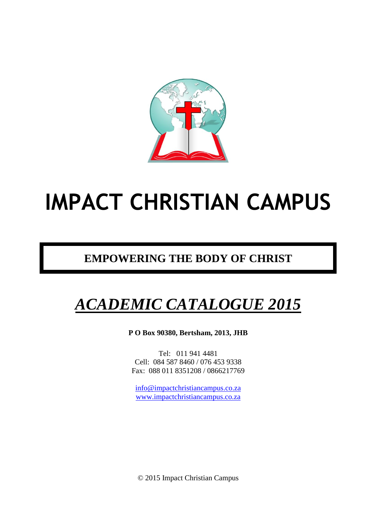

# **IMPACT CHRISTIAN CAMPUS**

## **EMPOWERING THE BODY OF CHRIST**

## *ACADEMIC CATALOGUE 2015*

**P O Box 90380, Bertsham, 2013, JHB**

Tel: 011 941 4481 Cell: 084 587 8460 / 076 453 9338 Fax: 088 011 8351208 / 0866217769

[info@impactchristiancampus.co.za](mailto:info@impactchristiancampus.co.za) [www.impactchristiancampus.co.za](http://www.impactchristiancampus.co.za/)

© 2015 Impact Christian Campus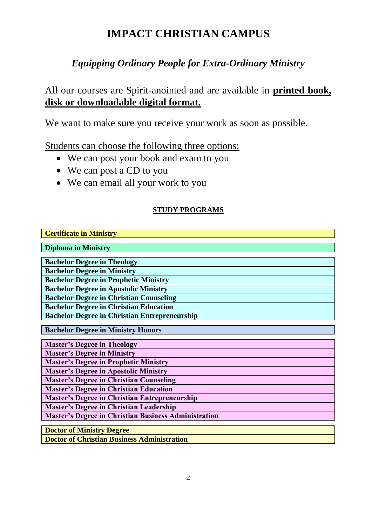## **IMPACT CHRISTIAN CAMPUS**

## *Equipping Ordinary People for Extra-Ordinary Ministry*

All our courses are Spirit-anointed and are available in **printed book, disk or downloadable digital format.**

We want to make sure you receive your work as soon as possible.

Students can choose the following three options:

- We can post your book and exam to you
- We can post a CD to you
- We can email all your work to you

#### **STUDY PROGRAMS**

| <b>Certificate in Ministry</b>                              |
|-------------------------------------------------------------|
| <b>Diploma in Ministry</b>                                  |
| <b>Bachelor Degree in Theology</b>                          |
| <b>Bachelor Degree in Ministry</b>                          |
| <b>Bachelor Degree in Prophetic Ministry</b>                |
| <b>Bachelor Degree in Apostolic Ministry</b>                |
| <b>Bachelor Degree in Christian Counseling</b>              |
| <b>Bachelor Degree in Christian Education</b>               |
| <b>Bachelor Degree in Christian Entrepreneurship</b>        |
| <b>Bachelor Degree in Ministry Honors</b>                   |
| <b>Master's Degree in Theology</b>                          |
| <b>Master's Degree in Ministry</b>                          |
| <b>Master's Degree in Prophetic Ministry</b>                |
| <b>Master's Degree in Apostolic Ministry</b>                |
| <b>Master's Degree in Christian Counseling</b>              |
| <b>Master's Degree in Christian Education</b>               |
| <b>Master's Degree in Christian Entrepreneurship</b>        |
| <b>Master's Degree in Christian Leadership</b>              |
| <b>Master's Degree in Christian Business Administration</b> |
| <b>Doctor of Ministry Degree</b>                            |
| <b>Doctor of Christian Business Administration</b>          |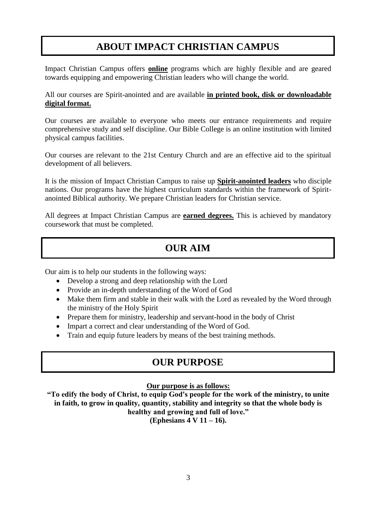## **ABOUT IMPACT CHRISTIAN CAMPUS**

Impact Christian Campus offers **online** programs which are highly flexible and are geared towards equipping and empowering Christian leaders who will change the world.

All our courses are Spirit-anointed and are available **in printed book, disk or downloadable digital format.**

Our courses are available to everyone who meets our entrance requirements and require comprehensive study and self discipline. Our Bible College is an online institution with limited physical campus facilities.

Our courses are relevant to the 21st Century Church and are an effective aid to the spiritual development of all believers.

It is the mission of Impact Christian Campus to raise up **Spirit-anointed leaders** who disciple nations. Our programs have the highest curriculum standards within the framework of Spiritanointed Biblical authority. We prepare Christian leaders for Christian service.

All degrees at Impact Christian Campus are **earned degrees.** This is achieved by mandatory coursework that must be completed.

## **OUR AIM**

Our aim is to help our students in the following ways:

- Develop a strong and deep relationship with the Lord
- Provide an in-depth understanding of the Word of God
- Make them firm and stable in their walk with the Lord as revealed by the Word through the ministry of the Holy Spirit
- Prepare them for ministry, leadership and servant-hood in the body of Christ
- Impart a correct and clear understanding of the Word of God.
- Train and equip future leaders by means of the best training methods.

## **OUR PURPOSE**

#### **Our purpose is as follows:**

**"To edify the body of Christ, to equip God's people for the work of the ministry, to unite in faith, to grow in quality, quantity, stability and integrity so that the whole body is healthy and growing and full of love." (Ephesians 4 V 11 – 16).**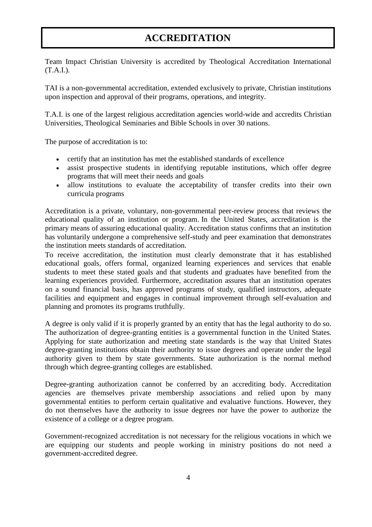## **ACCREDITATION**

Team Impact Christian University is accredited by Theological Accreditation International (T.A.I.).

TAI is a non-governmental accreditation, extended exclusively to private, Christian institutions upon inspection and approval of their programs, operations, and integrity.

T.A.I. is one of the largest religious accreditation agencies world-wide and accredits Christian Universities, Theological Seminaries and Bible Schools in over 30 nations.

The purpose of accreditation is to:

- certify that an institution has met the established standards of excellence
- assist prospective students in identifying reputable institutions, which offer degree programs that will meet their needs and goals
- allow institutions to evaluate the acceptability of transfer credits into their own curricula programs

Accreditation is a private, voluntary, non-governmental peer-review process that reviews the educational quality of an institution or program. In the United States, accreditation is the primary means of assuring educational quality. Accreditation status confirms that an institution has voluntarily undergone a comprehensive self-study and peer examination that demonstrates the institution meets standards of accreditation.

To receive accreditation, the institution must clearly demonstrate that it has established educational goals, offers formal, organized learning experiences and services that enable students to meet these stated goals and that students and graduates have benefited from the learning experiences provided. Furthermore, accreditation assures that an institution operates on a sound financial basis, has approved programs of study, qualified instructors, adequate facilities and equipment and engages in continual improvement through self-evaluation and planning and promotes its programs truthfully.

A degree is only valid if it is properly granted by an entity that has the legal authority to do so. The authorization of degree-granting entities is a governmental function in the United States. Applying for state authorization and meeting state standards is the way that United States degree-granting institutions obtain their authority to issue degrees and operate under the legal authority given to them by state governments. State authorization is the normal method through which degree-granting colleges are established.

Degree-granting authorization cannot be conferred by an accrediting body. Accreditation agencies are themselves private membership associations and relied upon by many governmental entities to perform certain qualitative and evaluative functions. However, they do not themselves have the authority to issue degrees nor have the power to authorize the existence of a college or a degree program.

Government-recognized accreditation is not necessary for the religious vocations in which we are equipping our students and people working in ministry positions do not need a government-accredited degree.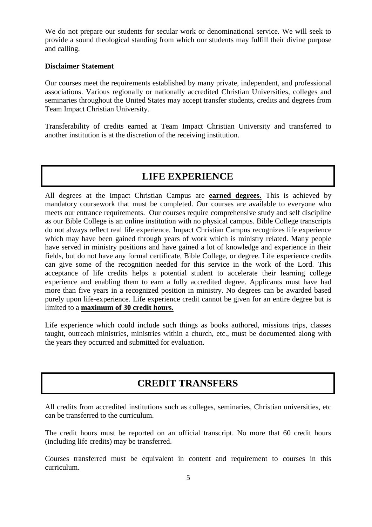We do not prepare our students for secular work or denominational service. We will seek to provide a sound theological standing from which our students may fulfill their divine purpose and calling.

#### **Disclaimer Statement**

Our courses meet the requirements established by many private, independent, and professional associations. Various regionally or nationally accredited Christian Universities, colleges and seminaries throughout the United States may accept transfer students, credits and degrees from Team Impact Christian University.

Transferability of credits earned at Team Impact Christian University and transferred to another institution is at the discretion of the receiving institution.

### **LIFE EXPERIENCE**

All degrees at the Impact Christian Campus are **earned degrees.** This is achieved by mandatory coursework that must be completed. Our courses are available to everyone who meets our entrance requirements. Our courses require comprehensive study and self discipline as our Bible College is an online institution with no physical campus. Bible College transcripts do not always reflect real life experience. Impact Christian Campus recognizes life experience which may have been gained through years of work which is ministry related. Many people have served in ministry positions and have gained a lot of knowledge and experience in their fields, but do not have any formal certificate, Bible College, or degree. Life experience credits can give some of the recognition needed for this service in the work of the Lord. This acceptance of life credits helps a potential student to accelerate their learning college experience and enabling them to earn a fully accredited degree. Applicants must have had more than five years in a recognized position in ministry. No degrees can be awarded based purely upon life-experience. Life experience credit cannot be given for an entire degree but is limited to a **maximum of 30 credit hours.**

Life experience which could include such things as books authored, missions trips, classes taught, outreach ministries, ministries within a church, etc., must be documented along with the years they occurred and submitted for evaluation.

## **CREDIT TRANSFERS**

All credits from accredited institutions such as colleges, seminaries, Christian universities, etc can be transferred to the curriculum.

The credit hours must be reported on an official transcript. No more that 60 credit hours (including life credits) may be transferred.

Courses transferred must be equivalent in content and requirement to courses in this curriculum.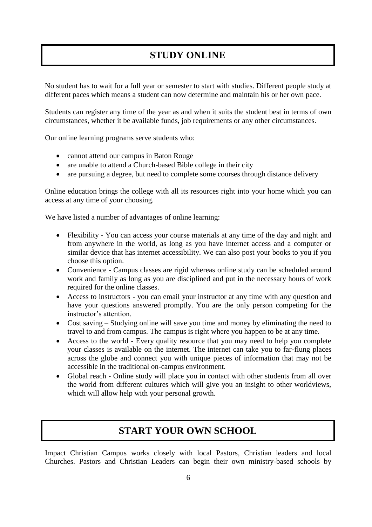## **STUDY ONLINE**

No student has to wait for a full year or semester to start with studies. Different people study at different paces which means a student can now determine and maintain his or her own pace.

Students can register any time of the year as and when it suits the student best in terms of own circumstances, whether it be available funds, job requirements or any other circumstances.

Our online learning programs serve students who:

- cannot attend our campus in Baton Rouge
- are unable to attend a Church-based Bible college in their city
- are pursuing a degree, but need to complete some courses through distance delivery

Online education brings the college with all its resources right into your home which you can access at any time of your choosing.

We have listed a number of advantages of online learning:

- Flexibility You can access your course materials at any time of the day and night and from anywhere in the world, as long as you have internet access and a computer or similar device that has internet accessibility. We can also post your books to you if you choose this option.
- Convenience Campus classes are rigid whereas online study can be scheduled around work and family as long as you are disciplined and put in the necessary hours of work required for the online classes.
- Access to instructors you can email your instructor at any time with any question and have your questions answered promptly. You are the only person competing for the instructor's attention.
- Cost saving Studying online will save you time and money by eliminating the need to travel to and from campus. The campus is right where you happen to be at any time.
- Access to the world Every quality resource that you may need to help you complete your classes is available on the internet. The internet can take you to far-flung places across the globe and connect you with unique pieces of information that may not be accessible in the traditional on-campus environment.
- Global reach Online study will place you in contact with other students from all over the world from different cultures which will give you an insight to other worldviews, which will allow help with your personal growth.

### **START YOUR OWN SCHOOL**

Impact Christian Campus works closely with local Pastors, Christian leaders and local Churches. Pastors and Christian Leaders can begin their own ministry-based schools by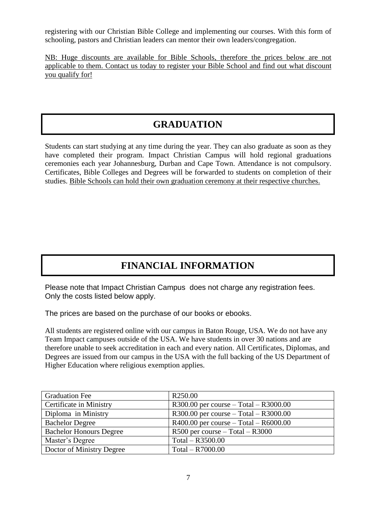registering with our Christian Bible College and implementing our courses. With this form of schooling, pastors and Christian leaders can mentor their own leaders/congregation.

NB: Huge discounts are available for Bible Schools, therefore the prices below are not applicable to them. Contact us today to register your Bible School and find out what discount you qualify for!

## **GRADUATION**

Students can start studying at any time during the year. They can also graduate as soon as they have completed their program. Impact Christian Campus will hold regional graduations ceremonies each year Johannesburg, Durban and Cape Town. Attendance is not compulsory. Certificates, Bible Colleges and Degrees will be forwarded to students on completion of their studies. Bible Schools can hold their own graduation ceremony at their respective churches.

## **FINANCIAL INFORMATION**

Please note that Impact Christian Campus does not charge any registration fees. Only the costs listed below apply.

The prices are based on the purchase of our books or ebooks.

All students are registered online with our campus in Baton Rouge, USA. We do not have any Team Impact campuses outside of the USA. We have students in over 30 nations and are therefore unable to seek accreditation in each and every nation. All Certificates, Diplomas, and Degrees are issued from our campus in the USA with the full backing of the US Department of Higher Education where religious exemption applies.

| <b>Graduation Fee</b>          | R <sub>250.00</sub>                       |
|--------------------------------|-------------------------------------------|
| Certificate in Ministry        | $R300.00$ per course – Total – $R3000.00$ |
| Diploma in Ministry            | $R300.00$ per course – Total – $R3000.00$ |
| <b>Bachelor Degree</b>         | $R400.00$ per course – Total – $R6000.00$ |
| <b>Bachelor Honours Degree</b> | $R500$ per course $-$ Total $ R3000$      |
| Master's Degree                | Total $-$ R3500.00                        |
| Doctor of Ministry Degree      | $Total - R7000.00$                        |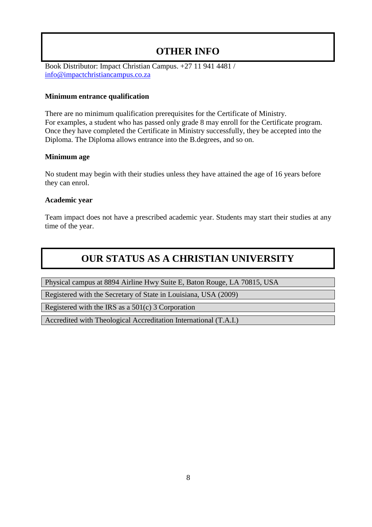## **OTHER INFO**

Book Distributor: Impact Christian Campus. +27 11 941 4481 / [info@impactchristiancampus.co.za](mailto:info@impactchristiancampus.co.za)

#### **Minimum entrance qualification**

There are no minimum qualification prerequisites for the Certificate of Ministry. For examples, a student who has passed only grade 8 may enroll for the Certificate program. Once they have completed the Certificate in Ministry successfully, they be accepted into the Diploma. The Diploma allows entrance into the B.degrees, and so on.

#### **Minimum age**

No student may begin with their studies unless they have attained the age of 16 years before they can enrol.

#### **Academic year**

Team impact does not have a prescribed academic year. Students may start their studies at any time of the year.

## **OUR STATUS AS A CHRISTIAN UNIVERSITY**

Physical campus at 8894 Airline Hwy Suite E, Baton Rouge, LA 70815, USA

Registered with the Secretary of State in Louisiana, USA (2009)

Registered with the IRS as a 501(c) 3 Corporation

Accredited with Theological Accreditation International (T.A.I.)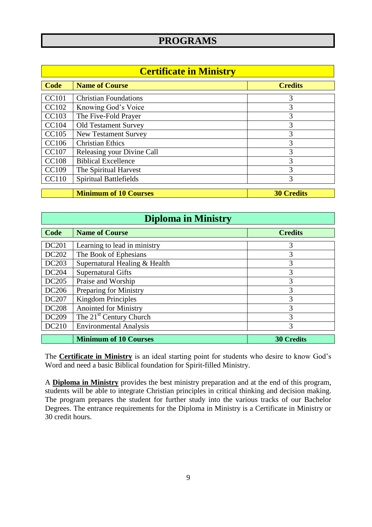## **PROGRAMS**

| <b>Certificate in Ministry</b> |                               |                   |
|--------------------------------|-------------------------------|-------------------|
| Code                           | <b>Name of Course</b>         | <b>Credits</b>    |
| <b>CC101</b>                   | <b>Christian Foundations</b>  | 3                 |
| CC102                          | Knowing God's Voice           | 3                 |
| <b>CC103</b>                   | The Five-Fold Prayer          | 3                 |
| <b>CC104</b>                   | <b>Old Testament Survey</b>   | 3                 |
| <b>CC105</b>                   | <b>New Testament Survey</b>   | 3                 |
| CC106                          | <b>Christian Ethics</b>       | 3                 |
| <b>CC107</b>                   | Releasing your Divine Call    | 3                 |
| <b>CC108</b>                   | <b>Biblical Excellence</b>    | 3                 |
| CC109                          | The Spiritual Harvest         | 3                 |
| <b>CC110</b>                   | <b>Spiritual Battlefields</b> | 3                 |
|                                |                               |                   |
|                                | <b>Minimum of 10 Courses</b>  | <b>30 Credits</b> |

## **Diploma in Ministry**

| Code         | <b>Name of Course</b>               | <b>Credits</b>    |
|--------------|-------------------------------------|-------------------|
|              |                                     |                   |
| DC201        | Learning to lead in ministry        | 3                 |
| DC202        | The Book of Ephesians               | 3                 |
| DC203        | Supernatural Healing & Health       | 3                 |
| DC204        | <b>Supernatural Gifts</b>           | 3                 |
| <b>DC205</b> | Praise and Worship                  | 3                 |
| <b>DC206</b> | Preparing for Ministry              | 3                 |
| DC207        | <b>Kingdom Principles</b>           | 3                 |
| <b>DC208</b> | <b>Anointed for Ministry</b>        | 3                 |
| DC209        | The 21 <sup>st</sup> Century Church | 3                 |
| DC210        | <b>Environmental Analysis</b>       | 3                 |
|              | <b>Minimum of 10 Courses</b>        | <b>30 Credits</b> |

The **Certificate in Ministry** is an ideal starting point for students who desire to know God's Word and need a basic Biblical foundation for Spirit-filled Ministry.

A **Diploma in Ministry** provides the best ministry preparation and at the end of this program, students will be able to integrate Christian principles in critical thinking and decision making. The program prepares the student for further study into the various tracks of our Bachelor Degrees. The entrance requirements for the Diploma in Ministry is a Certificate in Ministry or 30 credit hours.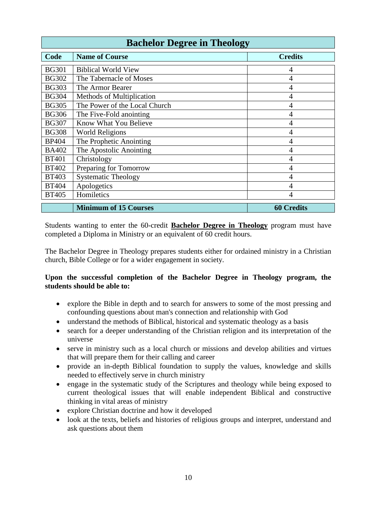| <b>Bachelor Degree in Theology</b> |                               |                   |
|------------------------------------|-------------------------------|-------------------|
| Code                               | <b>Name of Course</b>         | <b>Credits</b>    |
| <b>BG301</b>                       | <b>Biblical World View</b>    | 4                 |
| <b>BG302</b>                       | The Tabernacle of Moses       | 4                 |
| <b>BG303</b>                       | The Armor Bearer              | 4                 |
| <b>BG304</b>                       | Methods of Multiplication     | 4                 |
| <b>BG305</b>                       | The Power of the Local Church | 4                 |
| <b>BG306</b>                       | The Five-Fold anointing       | 4                 |
| <b>BG307</b>                       | Know What You Believe         | 4                 |
| <b>BG308</b>                       | <b>World Religions</b>        | 4                 |
| <b>BP404</b>                       | The Prophetic Anointing       | 4                 |
| <b>BA402</b>                       | The Apostolic Anointing       | 4                 |
| <b>BT401</b>                       | Christology                   | 4                 |
| <b>BT402</b>                       | Preparing for Tomorrow        | 4                 |
| <b>BT403</b>                       | <b>Systematic Theology</b>    | 4                 |
| <b>BT404</b>                       | Apologetics                   | 4                 |
| <b>BT405</b>                       | Homiletics                    |                   |
|                                    | <b>Minimum of 15 Courses</b>  | <b>60 Credits</b> |

Students wanting to enter the 60-credit **Bachelor Degree in Theology** program must have completed a Diploma in Ministry or an equivalent of 60 credit hours.

The Bachelor Degree in Theology prepares students either for ordained ministry in a Christian church, Bible College or for a wider engagement in society.

#### **Upon the successful completion of the Bachelor Degree in Theology program, the students should be able to:**

- explore the Bible in depth and to search for answers to some of the most pressing and confounding questions about man's connection and relationship with God
- understand the methods of Biblical, historical and systematic theology as a basis
- search for a deeper understanding of the Christian religion and its interpretation of the universe
- serve in ministry such as a local church or missions and develop abilities and virtues that will prepare them for their calling and career
- provide an in-depth Biblical foundation to supply the values, knowledge and skills needed to effectively serve in church ministry
- engage in the systematic study of the Scriptures and theology while being exposed to current theological issues that will enable independent Biblical and constructive thinking in vital areas of ministry
- explore Christian doctrine and how it developed
- look at the texts, beliefs and histories of religious groups and interpret, understand and ask questions about them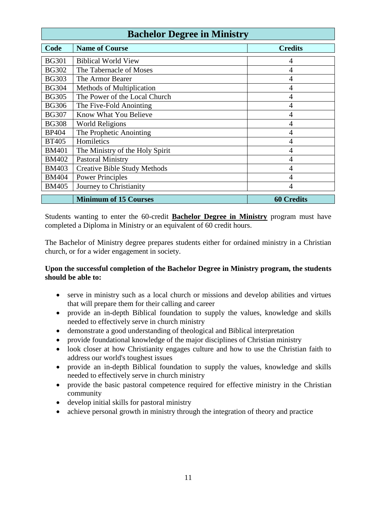| <b>Bachelor Degree in Ministry</b> |                                     |                   |
|------------------------------------|-------------------------------------|-------------------|
| Code                               | <b>Name of Course</b>               | <b>Credits</b>    |
| <b>BG301</b>                       | <b>Biblical World View</b>          | 4                 |
| <b>BG302</b>                       | The Tabernacle of Moses             | 4                 |
| <b>BG303</b>                       | The Armor Bearer                    | 4                 |
| <b>BG304</b>                       | Methods of Multiplication           | 4                 |
| <b>BG305</b>                       | The Power of the Local Church       | 4                 |
| <b>BG306</b>                       | The Five-Fold Anointing             | 4                 |
| <b>BG307</b>                       | Know What You Believe               | 4                 |
| <b>BG308</b>                       | <b>World Religions</b>              | 4                 |
| <b>BP404</b>                       | The Prophetic Anointing             | 4                 |
| <b>BT405</b>                       | Homiletics                          | 4                 |
| <b>BM401</b>                       | The Ministry of the Holy Spirit     | 4                 |
| <b>BM402</b>                       | <b>Pastoral Ministry</b>            | 4                 |
| <b>BM403</b>                       | <b>Creative Bible Study Methods</b> | 4                 |
| <b>BM404</b>                       | <b>Power Principles</b>             | 4                 |
| <b>BM405</b>                       | Journey to Christianity             |                   |
|                                    | <b>Minimum of 15 Courses</b>        | <b>60 Credits</b> |

Students wanting to enter the 60-credit **Bachelor Degree in Ministry** program must have completed a Diploma in Ministry or an equivalent of 60 credit hours.

The Bachelor of Ministry degree prepares students either for ordained ministry in a Christian church, or for a wider engagement in society.

#### **Upon the successful completion of the Bachelor Degree in Ministry program, the students should be able to:**

- serve in ministry such as a local church or missions and develop abilities and virtues that will prepare them for their calling and career
- provide an in-depth Biblical foundation to supply the values, knowledge and skills needed to effectively serve in church ministry
- demonstrate a good understanding of theological and Biblical interpretation
- provide foundational knowledge of the major disciplines of Christian ministry
- look closer at how Christianity engages culture and how to use the Christian faith to address our world's toughest issues
- provide an in-depth Biblical foundation to supply the values, knowledge and skills needed to effectively serve in church ministry
- provide the basic pastoral competence required for effective ministry in the Christian community
- develop initial skills for pastoral ministry
- achieve personal growth in ministry through the integration of theory and practice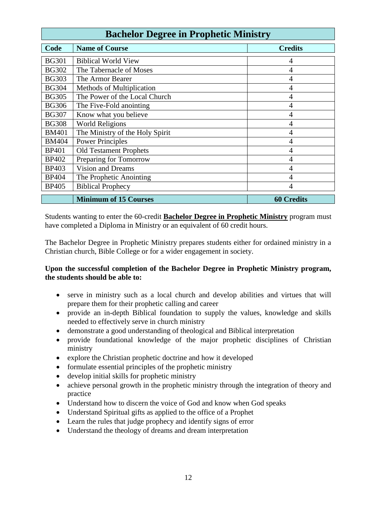| <b>Bachelor Degree in Prophetic Ministry</b> |                                 |                   |
|----------------------------------------------|---------------------------------|-------------------|
| Code                                         | <b>Name of Course</b>           | <b>Credits</b>    |
| <b>BG301</b>                                 | <b>Biblical World View</b>      | 4                 |
| <b>BG302</b>                                 | The Tabernacle of Moses         | 4                 |
| <b>BG303</b>                                 | The Armor Bearer                | 4                 |
| <b>BG304</b>                                 | Methods of Multiplication       | 4                 |
| <b>BG305</b>                                 | The Power of the Local Church   | 4                 |
| <b>BG306</b>                                 | The Five-Fold anointing         | 4                 |
| <b>BG307</b>                                 | Know what you believe           | 4                 |
| <b>BG308</b>                                 | <b>World Religions</b>          | 4                 |
| <b>BM401</b>                                 | The Ministry of the Holy Spirit | 4                 |
| <b>BM404</b>                                 | <b>Power Principles</b>         | 4                 |
| <b>BP401</b>                                 | <b>Old Testament Prophets</b>   | 4                 |
| <b>BP402</b>                                 | Preparing for Tomorrow          | 4                 |
| <b>BP403</b>                                 | <b>Vision and Dreams</b>        | 4                 |
| <b>BP404</b>                                 | The Prophetic Anointing         | 4                 |
| <b>BP405</b>                                 | <b>Biblical Prophecy</b>        | 4                 |
|                                              | <b>Minimum of 15 Courses</b>    | <b>60 Credits</b> |

Students wanting to enter the 60-credit **Bachelor Degree in Prophetic Ministry** program must have completed a Diploma in Ministry or an equivalent of 60 credit hours.

The Bachelor Degree in Prophetic Ministry prepares students either for ordained ministry in a Christian church, Bible College or for a wider engagement in society.

#### **Upon the successful completion of the Bachelor Degree in Prophetic Ministry program, the students should be able to:**

- serve in ministry such as a local church and develop abilities and virtues that will prepare them for their prophetic calling and career
- provide an in-depth Biblical foundation to supply the values, knowledge and skills needed to effectively serve in church ministry
- demonstrate a good understanding of theological and Biblical interpretation
- provide foundational knowledge of the major prophetic disciplines of Christian ministry
- explore the Christian prophetic doctrine and how it developed
- formulate essential principles of the prophetic ministry
- develop initial skills for prophetic ministry
- achieve personal growth in the prophetic ministry through the integration of theory and practice
- Understand how to discern the voice of God and know when God speaks
- Understand Spiritual gifts as applied to the office of a Prophet
- Learn the rules that judge prophecy and identify signs of error
- Understand the theology of dreams and dream interpretation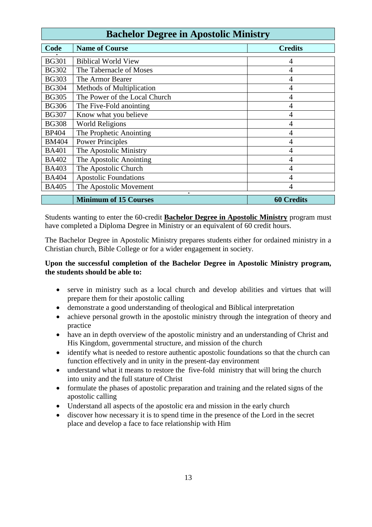| <b>Bachelor Degree in Apostolic Ministry</b> |                                   |                   |
|----------------------------------------------|-----------------------------------|-------------------|
| <b>Code</b>                                  | <b>Name of Course</b>             | <b>Credits</b>    |
| <b>BG301</b>                                 | <b>Biblical World View</b>        | 4                 |
| <b>BG302</b>                                 | The Tabernacle of Moses           | 4                 |
| <b>BG303</b>                                 | The Armor Bearer                  | 4                 |
| <b>BG304</b>                                 | Methods of Multiplication         | 4                 |
| <b>BG305</b>                                 | The Power of the Local Church     | 4                 |
| <b>BG306</b>                                 | The Five-Fold anointing           | 4                 |
| <b>BG307</b>                                 | Know what you believe             | 4                 |
| <b>BG308</b>                                 | <b>World Religions</b>            | 4                 |
| <b>BP404</b>                                 | The Prophetic Anointing           | 4                 |
| <b>BM404</b>                                 | <b>Power Principles</b>           | 4                 |
| <b>BA401</b>                                 | The Apostolic Ministry            | 4                 |
| <b>BA402</b>                                 | The Apostolic Anointing           | 4                 |
| <b>BA403</b>                                 | The Apostolic Church              | 4                 |
| <b>BA404</b>                                 | <b>Apostolic Foundations</b>      | 4                 |
| <b>BA405</b>                                 | The Apostolic Movement            |                   |
|                                              | ٠<br><b>Minimum of 15 Courses</b> | <b>60 Credits</b> |

Students wanting to enter the 60-credit **Bachelor Degree in Apostolic Ministry** program must have completed a Diploma Degree in Ministry or an equivalent of 60 credit hours.

The Bachelor Degree in Apostolic Ministry prepares students either for ordained ministry in a Christian church, Bible College or for a wider engagement in society.

#### **Upon the successful completion of the Bachelor Degree in Apostolic Ministry program, the students should be able to:**

- serve in ministry such as a local church and develop abilities and virtues that will prepare them for their apostolic calling
- demonstrate a good understanding of theological and Biblical interpretation
- achieve personal growth in the apostolic ministry through the integration of theory and practice
- have an in depth overview of the apostolic ministry and an understanding of Christ and His Kingdom, governmental structure, and mission of the church
- identify what is needed to restore authentic apostolic foundations so that the church can function effectively and in unity in the present-day environment
- understand what it means to restore the five-fold ministry that will bring the church into unity and the full stature of Christ
- formulate the phases of apostolic preparation and training and the related signs of the apostolic calling
- Understand all aspects of the apostolic era and mission in the early church
- discover how necessary it is to spend time in the presence of the Lord in the secret place and develop a face to face relationship with Him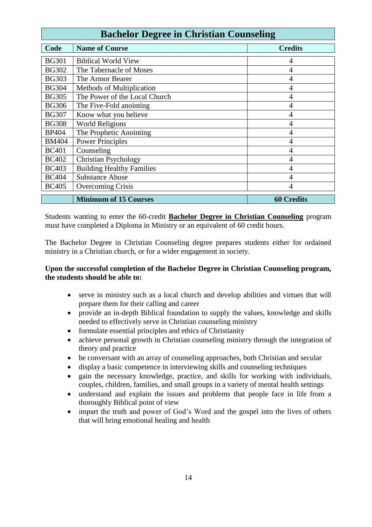| <b>Bachelor Degree in Christian Counseling</b> |                                  |                   |
|------------------------------------------------|----------------------------------|-------------------|
| Code                                           | <b>Name of Course</b>            | <b>Credits</b>    |
| <b>BG301</b>                                   | <b>Biblical World View</b>       | 4                 |
| <b>BG302</b>                                   | The Tabernacle of Moses          | 4                 |
| <b>BG303</b>                                   | The Armor Bearer                 | 4                 |
| <b>BG304</b>                                   | Methods of Multiplication        | 4                 |
| <b>BG305</b>                                   | The Power of the Local Church    | 4                 |
| <b>BG306</b>                                   | The Five-Fold anointing          | 4                 |
| <b>BG307</b>                                   | Know what you believe            | 4                 |
| <b>BG308</b>                                   | <b>World Religions</b>           | 4                 |
| <b>BP404</b>                                   | The Prophetic Anointing          | 4                 |
| <b>BM404</b>                                   | <b>Power Principles</b>          | 4                 |
| <b>BC401</b>                                   | Counseling                       | 4                 |
| <b>BC402</b>                                   | <b>Christian Psychology</b>      | 4                 |
| <b>BC403</b>                                   | <b>Building Healthy Families</b> | 4                 |
| <b>BC404</b>                                   | <b>Substance Abuse</b>           | 4                 |
| <b>BC405</b>                                   | Overcoming Crisis                |                   |
|                                                | <b>Minimum of 15 Courses</b>     | <b>60 Credits</b> |

Students wanting to enter the 60-credit **Bachelor Degree in Christian Counseling** program must have completed a Diploma in Ministry or an equivalent of 60 credit hours.

The Bachelor Degree in Christian Counseling degree prepares students either for ordained ministry in a Christian church, or for a wider engagement in society.

#### **Upon the successful completion of the Bachelor Degree in Christian Counseling program, the students should be able to:**

- serve in ministry such as a local church and develop abilities and virtues that will prepare them for their calling and career
- provide an in-depth Biblical foundation to supply the values, knowledge and skills needed to effectively serve in Christian counseling ministry
- formulate essential principles and ethics of Christianity
- achieve personal growth in Christian counseling ministry through the integration of theory and practice
- be conversant with an array of counseling approaches, both Christian and secular
- display a basic competence in interviewing skills and counseling techniques
- gain the necessary knowledge, practice, and skills for working with individuals, couples, children, families, and small groups in a variety of mental health settings
- understand and explain the issues and problems that people face in life from a thoroughly Biblical point of view
- impart the truth and power of God's Word and the gospel into the lives of others that will bring emotional healing and health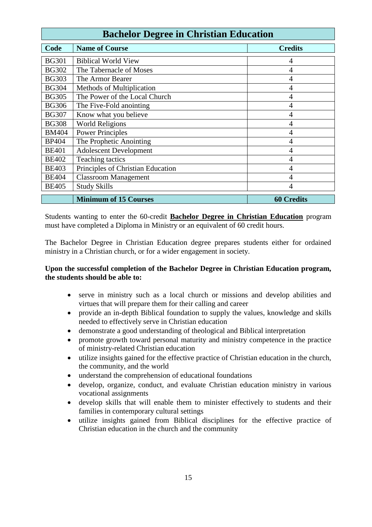| <b>Bachelor Degree in Christian Education</b> |                                   |                   |
|-----------------------------------------------|-----------------------------------|-------------------|
| Code                                          | <b>Name of Course</b>             | <b>Credits</b>    |
| <b>BG301</b>                                  | <b>Biblical World View</b>        | 4                 |
| <b>BG302</b>                                  | The Tabernacle of Moses           | 4                 |
| <b>BG303</b>                                  | The Armor Bearer                  | 4                 |
| <b>BG304</b>                                  | Methods of Multiplication         | 4                 |
| <b>BG305</b>                                  | The Power of the Local Church     | 4                 |
| <b>BG306</b>                                  | The Five-Fold anointing           | 4                 |
| <b>BG307</b>                                  | Know what you believe             | 4                 |
| <b>BG308</b>                                  | <b>World Religions</b>            | 4                 |
| <b>BM404</b>                                  | <b>Power Principles</b>           | 4                 |
| <b>BP404</b>                                  | The Prophetic Anointing           | 4                 |
| <b>BE401</b>                                  | <b>Adolescent Development</b>     | 4                 |
| <b>BE402</b>                                  | Teaching tactics                  | 4                 |
| <b>BE403</b>                                  | Principles of Christian Education | 4                 |
| <b>BE404</b>                                  | <b>Classroom Management</b>       | 4                 |
| <b>BE405</b>                                  | <b>Study Skills</b>               |                   |
|                                               | <b>Minimum of 15 Courses</b>      | <b>60 Credits</b> |

Students wanting to enter the 60-credit **Bachelor Degree in Christian Education** program must have completed a Diploma in Ministry or an equivalent of 60 credit hours.

The Bachelor Degree in Christian Education degree prepares students either for ordained ministry in a Christian church, or for a wider engagement in society.

#### **Upon the successful completion of the Bachelor Degree in Christian Education program, the students should be able to:**

- serve in ministry such as a local church or missions and develop abilities and virtues that will prepare them for their calling and career
- provide an in-depth Biblical foundation to supply the values, knowledge and skills needed to effectively serve in Christian education
- demonstrate a good understanding of theological and Biblical interpretation
- promote growth toward personal maturity and ministry competence in the practice of ministry-related Christian education
- utilize insights gained for the effective practice of Christian education in the church, the community, and the world
- understand the comprehension of educational foundations
- develop, organize, conduct, and evaluate Christian education ministry in various vocational assignments
- develop skills that will enable them to minister effectively to students and their families in contemporary cultural settings
- utilize insights gained from Biblical disciplines for the effective practice of Christian education in the church and the community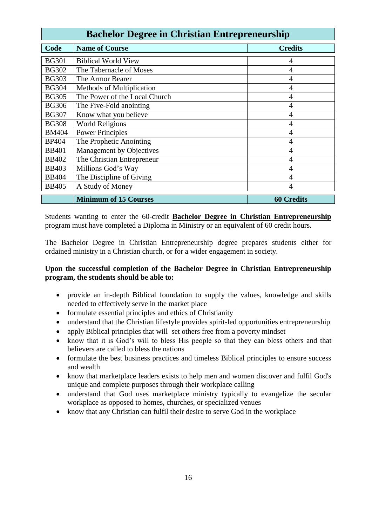| <b>Bachelor Degree in Christian Entrepreneurship</b> |                                 |                   |
|------------------------------------------------------|---------------------------------|-------------------|
| Code                                                 | <b>Name of Course</b>           | <b>Credits</b>    |
| <b>BG301</b>                                         | <b>Biblical World View</b>      | 4                 |
| <b>BG302</b>                                         | The Tabernacle of Moses         | 4                 |
| <b>BG303</b>                                         | The Armor Bearer                | 4                 |
| <b>BG304</b>                                         | Methods of Multiplication       | 4                 |
| <b>BG305</b>                                         | The Power of the Local Church   | 4                 |
| <b>BG306</b>                                         | The Five-Fold anointing         | 4                 |
| <b>BG307</b>                                         | Know what you believe           | 4                 |
| <b>BG308</b>                                         | <b>World Religions</b>          | 4                 |
| <b>BM404</b>                                         | <b>Power Principles</b>         | 4                 |
| <b>BP404</b>                                         | The Prophetic Anointing         | 4                 |
| <b>BB401</b>                                         | <b>Management by Objectives</b> | 4                 |
| <b>BB402</b>                                         | The Christian Entrepreneur      | 4                 |
| <b>BB403</b>                                         | Millions God's Way              | 4                 |
| <b>BB404</b>                                         | The Discipline of Giving        | 4                 |
| <b>BB405</b>                                         | A Study of Money                |                   |
|                                                      | <b>Minimum of 15 Courses</b>    | <b>60 Credits</b> |

Students wanting to enter the 60-credit **Bachelor Degree in Christian Entrepreneurship** program must have completed a Diploma in Ministry or an equivalent of 60 credit hours.

The Bachelor Degree in Christian Entrepreneurship degree prepares students either for ordained ministry in a Christian church, or for a wider engagement in society.

#### **Upon the successful completion of the Bachelor Degree in Christian Entrepreneurship program, the students should be able to:**

- provide an in-depth Biblical foundation to supply the values, knowledge and skills needed to effectively serve in the market place
- formulate essential principles and ethics of Christianity
- understand that the Christian lifestyle provides spirit-led opportunities entrepreneurship
- apply Biblical principles that will set others free from a poverty mindset
- know that it is God's will to bless His people so that they can bless others and that believers are called to bless the nations
- formulate the best business practices and timeless Biblical principles to ensure success and wealth
- know that marketplace leaders exists to help men and women discover and fulfil God's unique and complete purposes through their workplace calling
- understand that God uses marketplace ministry typically to evangelize the secular workplace as opposed to homes, churches, or specialized venues
- know that any Christian can fulfil their desire to serve God in the workplace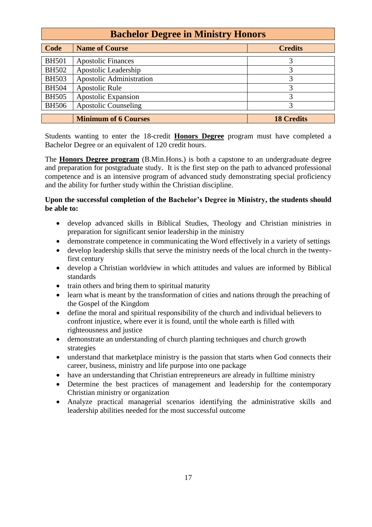| <b>Bachelor Degree in Ministry Honors</b> |                             |                   |
|-------------------------------------------|-----------------------------|-------------------|
| <b>Code</b>                               | <b>Name of Course</b>       | <b>Credits</b>    |
| <b>BH501</b>                              | <b>Apostolic Finances</b>   | 3                 |
| <b>BH502</b>                              | Apostolic Leadership        | 3                 |
| <b>BH503</b>                              | Apostolic Administration    | 3                 |
| <b>BH504</b>                              | <b>Apostolic Rule</b>       | 3                 |
| <b>BH505</b>                              | Apostolic Expansion         | 3                 |
| <b>BH506</b>                              | <b>Apostolic Counseling</b> | 3                 |
|                                           | <b>Minimum of 6 Courses</b> | <b>18 Credits</b> |

Students wanting to enter the 18-credit **Honors Degree** program must have completed a Bachelor Degree or an equivalent of 120 credit hours.

The **Honors Degree program** (B.Min.Hons.) is both a capstone to an undergraduate degree and preparation for postgraduate study. It is the first step on the path to advanced professional competence and is an intensive program of advanced study demonstrating special proficiency and the ability for further study within the Christian discipline.

#### **Upon the successful completion of the Bachelor's Degree in Ministry, the students should be able to:**

- develop advanced skills in Biblical Studies, Theology and Christian ministries in preparation for significant senior leadership in the ministry
- demonstrate competence in communicating the Word effectively in a variety of settings
- develop leadership skills that serve the ministry needs of the local church in the twentyfirst century
- develop a Christian worldview in which attitudes and values are informed by Biblical standards
- train others and bring them to spiritual maturity
- learn what is meant by the transformation of cities and nations through the preaching of the Gospel of the Kingdom
- define the moral and spiritual responsibility of the church and individual believers to confront injustice, where ever it is found, until the whole earth is filled with righteousness and justice
- demonstrate an understanding of church planting techniques and church growth strategies
- understand that marketplace ministry is the passion that starts when God connects their career, business, ministry and life purpose into one package
- have an understanding that Christian entrepreneurs are already in fulltime ministry
- Determine the best practices of management and leadership for the contemporary Christian ministry or organization
- Analyze practical managerial scenarios identifying the administrative skills and leadership abilities needed for the most successful outcome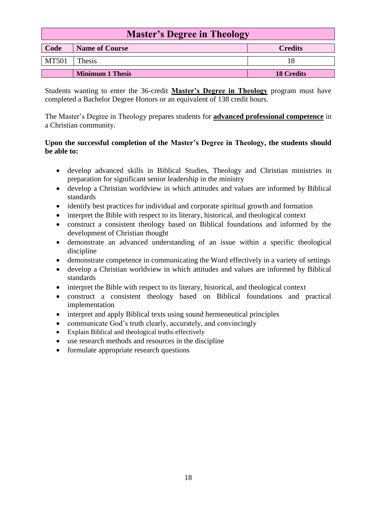| <b>Master's Degree in Theology</b> |                         |                   |
|------------------------------------|-------------------------|-------------------|
| Code                               | <b>Name of Course</b>   | <b>Credits</b>    |
| <b>MT501</b>                       | <b>Thesis</b>           |                   |
|                                    | <b>Minimum 1 Thesis</b> | <b>18 Credits</b> |

Students wanting to enter the 36-credit **Master's Degree in Theology** program must have completed a Bachelor Degree Honors or an equivalent of 138 credit hours.

The Master's Degree in Theology prepares students for **advanced professional competence** in a Christian community.

#### **Upon the successful completion of the Master's Degree in Theology, the students should be able to:**

- develop advanced skills in Biblical Studies, Theology and Christian ministries in preparation for significant senior leadership in the ministry
- develop a Christian worldview in which attitudes and values are informed by Biblical standards
- identify best practices for individual and corporate spiritual growth and formation
- interpret the Bible with respect to its literary, historical, and theological context
- construct a consistent theology based on Biblical foundations and informed by the development of Christian thought
- demonstrate an advanced understanding of an issue within a specific theological discipline
- demonstrate competence in communicating the Word effectively in a variety of settings
- develop a Christian worldview in which attitudes and values are informed by Biblical standards
- interpret the Bible with respect to its literary, historical, and theological context
- construct a consistent theology based on Biblical foundations and practical implementation
- interpret and apply Biblical texts using sound hermeneutical principles
- communicate God's truth clearly, accurately, and convincingly
- Explain Biblical and theological truths effectively
- use research methods and resources in the discipline
- formulate appropriate research questions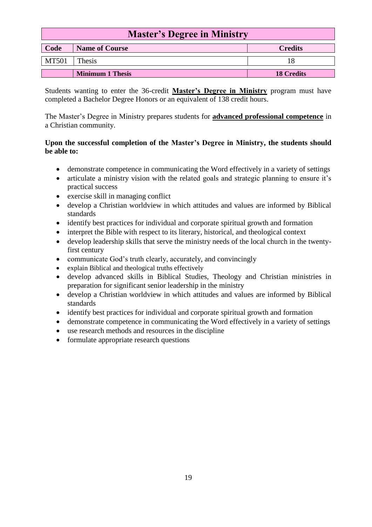| <b>Master's Degree in Ministry</b>              |        |  |  |
|-------------------------------------------------|--------|--|--|
| Code<br><b>Credits</b><br><b>Name of Course</b> |        |  |  |
| <b>MT501</b>                                    | Thesis |  |  |
| <b>Minimum 1 Thesis</b><br><b>18 Credits</b>    |        |  |  |

Students wanting to enter the 36-credit **Master's Degree in Ministry** program must have completed a Bachelor Degree Honors or an equivalent of 138 credit hours.

The Master's Degree in Ministry prepares students for **advanced professional competence** in a Christian community.

#### **Upon the successful completion of the Master's Degree in Ministry, the students should be able to:**

- demonstrate competence in communicating the Word effectively in a variety of settings
- articulate a ministry vision with the related goals and strategic planning to ensure it's practical success
- exercise skill in managing conflict
- develop a Christian worldview in which attitudes and values are informed by Biblical standards
- identify best practices for individual and corporate spiritual growth and formation
- interpret the Bible with respect to its literary, historical, and theological context
- develop leadership skills that serve the ministry needs of the local church in the twentyfirst century
- communicate God's truth clearly, accurately, and convincingly
- explain Biblical and theological truths effectively
- develop advanced skills in Biblical Studies, Theology and Christian ministries in preparation for significant senior leadership in the ministry
- develop a Christian worldview in which attitudes and values are informed by Biblical standards
- identify best practices for individual and corporate spiritual growth and formation
- demonstrate competence in communicating the Word effectively in a variety of settings
- use research methods and resources in the discipline
- formulate appropriate research questions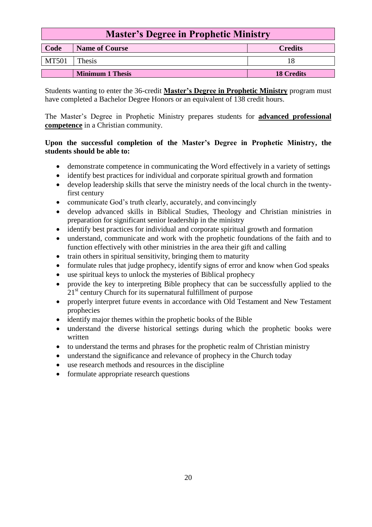| <b>Master's Degree in Prophetic Ministry</b>    |        |  |
|-------------------------------------------------|--------|--|
| Code<br><b>Name of Course</b><br><b>Credits</b> |        |  |
| <b>MT501</b>                                    | Thesis |  |
| <b>Minimum 1 Thesis</b><br><b>18 Credits</b>    |        |  |

Students wanting to enter the 36-credit **Master's Degree in Prophetic Ministry** program must have completed a Bachelor Degree Honors or an equivalent of 138 credit hours.

The Master's Degree in Prophetic Ministry prepares students for **advanced professional competence** in a Christian community.

#### **Upon the successful completion of the Master's Degree in Prophetic Ministry, the students should be able to:**

- demonstrate competence in communicating the Word effectively in a variety of settings
- identify best practices for individual and corporate spiritual growth and formation
- develop leadership skills that serve the ministry needs of the local church in the twentyfirst century
- communicate God's truth clearly, accurately, and convincingly
- develop advanced skills in Biblical Studies, Theology and Christian ministries in preparation for significant senior leadership in the ministry
- identify best practices for individual and corporate spiritual growth and formation
- understand, communicate and work with the prophetic foundations of the faith and to function effectively with other ministries in the area their gift and calling
- train others in spiritual sensitivity, bringing them to maturity
- formulate rules that judge prophecy, identify signs of error and know when God speaks
- use spiritual keys to unlock the mysteries of Biblical prophecy
- provide the key to interpreting Bible prophecy that can be successfully applied to the 21<sup>st</sup> century Church for its supernatural fulfillment of purpose
- properly interpret future events in accordance with Old Testament and New Testament prophecies
- identify major themes within the prophetic books of the Bible
- understand the diverse historical settings during which the prophetic books were written
- to understand the terms and phrases for the prophetic realm of Christian ministry
- understand the significance and relevance of prophecy in the Church today
- use research methods and resources in the discipline
- formulate appropriate research questions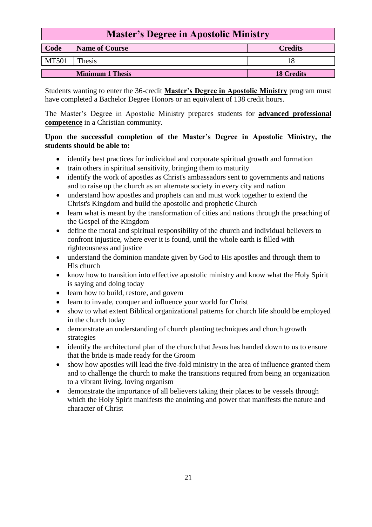| <b>Master's Degree in Apostolic Ministry</b>    |        |  |
|-------------------------------------------------|--------|--|
| Code<br><b>Name of Course</b><br><b>Credits</b> |        |  |
| <b>MT501</b>                                    | Thesis |  |
| <b>Minimum 1 Thesis</b><br><b>18 Credits</b>    |        |  |

Students wanting to enter the 36-credit **Master's Degree in Apostolic Ministry** program must have completed a Bachelor Degree Honors or an equivalent of 138 credit hours.

The Master's Degree in Apostolic Ministry prepares students for **advanced professional competence** in a Christian community.

#### **Upon the successful completion of the Master's Degree in Apostolic Ministry, the students should be able to:**

- identify best practices for individual and corporate spiritual growth and formation
- train others in spiritual sensitivity, bringing them to maturity
- identify the work of apostles as Christ's ambassadors sent to governments and nations and to raise up the church as an alternate society in every city and nation
- understand how apostles and prophets can and must work together to extend the Christ's Kingdom and build the apostolic and prophetic Church
- learn what is meant by the transformation of cities and nations through the preaching of the Gospel of the Kingdom
- define the moral and spiritual responsibility of the church and individual believers to confront injustice, where ever it is found, until the whole earth is filled with righteousness and justice
- understand the dominion mandate given by God to His apostles and through them to His church
- know how to transition into effective apostolic ministry and know what the Holy Spirit is saying and doing today
- learn how to build, restore, and govern
- learn to invade, conquer and influence your world for Christ
- show to what extent Biblical organizational patterns for church life should be employed in the church today
- demonstrate an understanding of church planting techniques and church growth strategies
- identify the architectural plan of the church that Jesus has handed down to us to ensure that the bride is made ready for the Groom
- show how apostles will lead the five-fold ministry in the area of influence granted them and to challenge the church to make the transitions required from being an organization to a vibrant living, loving organism
- demonstrate the importance of all believers taking their places to be vessels through which the Holy Spirit manifests the anointing and power that manifests the nature and character of Christ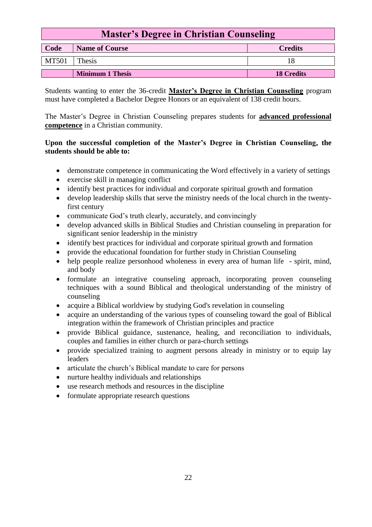| <b>Master's Degree in Christian Counseling</b>  |        |  |
|-------------------------------------------------|--------|--|
| Code<br><b>Name of Course</b><br><b>Credits</b> |        |  |
| <b>MT501</b>                                    | Thesis |  |
| <b>Minimum 1 Thesis</b><br><b>18 Credits</b>    |        |  |

Students wanting to enter the 36-credit **Master's Degree in Christian Counseling** program must have completed a Bachelor Degree Honors or an equivalent of 138 credit hours.

The Master's Degree in Christian Counseling prepares students for **advanced professional competence** in a Christian community.

#### **Upon the successful completion of the Master's Degree in Christian Counseling, the students should be able to:**

- demonstrate competence in communicating the Word effectively in a variety of settings
- exercise skill in managing conflict
- identify best practices for individual and corporate spiritual growth and formation
- develop leadership skills that serve the ministry needs of the local church in the twentyfirst century
- communicate God's truth clearly, accurately, and convincingly
- develop advanced skills in Biblical Studies and Christian counseling in preparation for significant senior leadership in the ministry
- identify best practices for individual and corporate spiritual growth and formation
- provide the educational foundation for further study in Christian Counseling
- help people realize personhood wholeness in every area of human life spirit, mind, and body
- formulate an integrative counseling approach, incorporating proven counseling techniques with a sound Biblical and theological understanding of the ministry of counseling
- acquire a Biblical worldview by studying God's revelation in counseling
- acquire an understanding of the various types of counseling toward the goal of Biblical integration within the framework of Christian principles and practice
- provide Biblical guidance, sustenance, healing, and reconciliation to individuals, couples and families in either church or para-church settings
- provide specialized training to augment persons already in ministry or to equip lay leaders
- articulate the church's Biblical mandate to care for persons
- nurture healthy individuals and relationships
- use research methods and resources in the discipline
- formulate appropriate research questions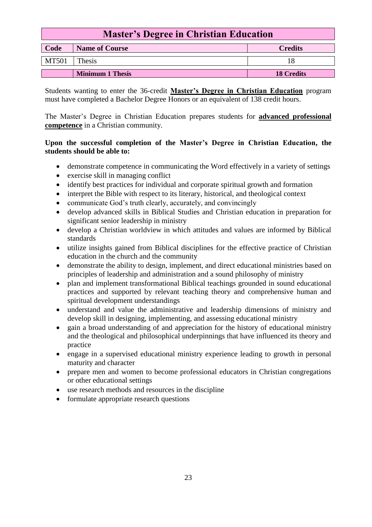| <b>Master's Degree in Christian Education</b>   |        |  |
|-------------------------------------------------|--------|--|
| Code<br><b>Name of Course</b><br><b>Credits</b> |        |  |
| <b>MT501</b>                                    | Thesis |  |
| <b>Minimum 1 Thesis</b><br><b>18 Credits</b>    |        |  |

Students wanting to enter the 36-credit **Master's Degree in Christian Education** program must have completed a Bachelor Degree Honors or an equivalent of 138 credit hours.

The Master's Degree in Christian Education prepares students for **advanced professional competence** in a Christian community.

#### **Upon the successful completion of the Master's Degree in Christian Education, the students should be able to:**

- demonstrate competence in communicating the Word effectively in a variety of settings
- exercise skill in managing conflict
- identify best practices for individual and corporate spiritual growth and formation
- interpret the Bible with respect to its literary, historical, and theological context
- communicate God's truth clearly, accurately, and convincingly
- develop advanced skills in Biblical Studies and Christian education in preparation for significant senior leadership in ministry
- develop a Christian worldview in which attitudes and values are informed by Biblical standards
- utilize insights gained from Biblical disciplines for the effective practice of Christian education in the church and the community
- demonstrate the ability to design, implement, and direct educational ministries based on principles of leadership and administration and a sound philosophy of ministry
- plan and implement transformational Biblical teachings grounded in sound educational practices and supported by relevant teaching theory and comprehensive human and spiritual development understandings
- understand and value the administrative and leadership dimensions of ministry and develop skill in designing, implementing, and assessing educational ministry
- gain a broad understanding of and appreciation for the history of educational ministry and the theological and philosophical underpinnings that have influenced its theory and practice
- engage in a supervised educational ministry experience leading to growth in personal maturity and character
- prepare men and women to become professional educators in Christian congregations or other educational settings
- use research methods and resources in the discipline
- formulate appropriate research questions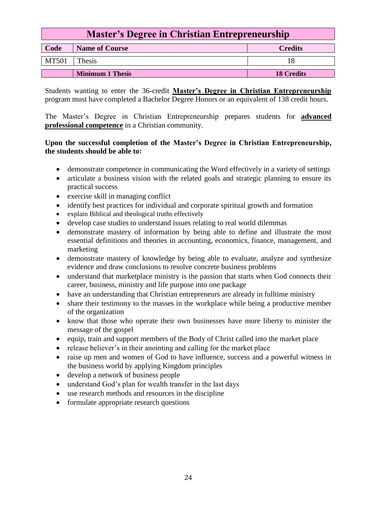| <b>Master's Degree in Christian Entrepreneurship</b> |        |  |
|------------------------------------------------------|--------|--|
| Code<br><b>Name of Course</b><br><b>Credits</b>      |        |  |
| <b>MT501</b>                                         | Thesis |  |
| <b>Minimum 1 Thesis</b><br><b>18 Credits</b>         |        |  |

Students wanting to enter the 36-credit **Master's Degree in Christian Entrepreneurship** program must have completed a Bachelor Degree Honors or an equivalent of 138 credit hours.

The Master's Degree in Christian Entrepreneurship prepares students for **advanced professional competence** in a Christian community.

#### **Upon the successful completion of the Master's Degree in Christian Entrepreneurship, the students should be able to:**

- demonstrate competence in communicating the Word effectively in a variety of settings
- articulate a business vision with the related goals and strategic planning to ensure its practical success
- exercise skill in managing conflict
- identify best practices for individual and corporate spiritual growth and formation
- explain Biblical and theological truths effectively
- develop case studies to understand issues relating to real world dilemmas
- demonstrate mastery of information by being able to define and illustrate the most essential definitions and theories in accounting, economics, finance, management, and marketing
- demonstrate mastery of knowledge by being able to evaluate, analyze and synthesize evidence and draw conclusions to resolve concrete business problems
- understand that marketplace ministry is the passion that starts when God connects their career, business, ministry and life purpose into one package
- have an understanding that Christian entrepreneurs are already in fulltime ministry
- share their testimony to the masses in the workplace while being a productive member of the organization
- know that those who operate their own businesses have more liberty to minister the message of the gospel
- equip, train and support members of the Body of Christ called into the market place
- release believer's in their anointing and calling for the market place
- raise up men and women of God to have influence, success and a powerful witness in the business world by applying Kingdom principles
- develop a network of business people
- understand God's plan for wealth transfer in the last days
- use research methods and resources in the discipline
- formulate appropriate research questions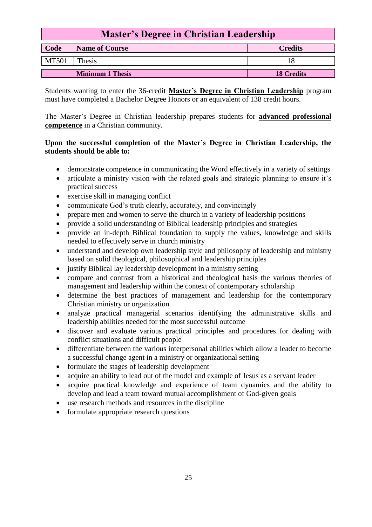| <b>Master's Degree in Christian Leadership</b>  |        |  |
|-------------------------------------------------|--------|--|
| Code<br><b>Name of Course</b><br><b>Credits</b> |        |  |
| <b>MT501</b>                                    | Thesis |  |
| <b>Minimum 1 Thesis</b><br><b>18 Credits</b>    |        |  |

Students wanting to enter the 36-credit **Master's Degree in Christian Leadership** program must have completed a Bachelor Degree Honors or an equivalent of 138 credit hours.

The Master's Degree in Christian leadership prepares students for **advanced professional competence** in a Christian community.

#### **Upon the successful completion of the Master's Degree in Christian Leadership, the students should be able to:**

- demonstrate competence in communicating the Word effectively in a variety of settings
- articulate a ministry vision with the related goals and strategic planning to ensure it's practical success
- exercise skill in managing conflict
- communicate God's truth clearly, accurately, and convincingly
- prepare men and women to serve the church in a variety of leadership positions
- provide a solid understanding of Biblical leadership principles and strategies
- provide an in-depth Biblical foundation to supply the values, knowledge and skills needed to effectively serve in church ministry
- understand and develop own leadership style and philosophy of leadership and ministry based on solid theological, philosophical and leadership principles
- justify Biblical lay leadership development in a ministry setting
- compare and contrast from a historical and theological basis the various theories of management and leadership within the context of contemporary scholarship
- determine the best practices of management and leadership for the contemporary Christian ministry or organization
- analyze practical managerial scenarios identifying the administrative skills and leadership abilities needed for the most successful outcome
- discover and evaluate various practical principles and procedures for dealing with conflict situations and difficult people
- differentiate between the various interpersonal abilities which allow a leader to become a successful change agent in a ministry or organizational setting
- formulate the stages of leadership development
- acquire an ability to lead out of the model and example of Jesus as a servant leader
- acquire practical knowledge and experience of team dynamics and the ability to develop and lead a team toward mutual accomplishment of God-given goals
- use research methods and resources in the discipline
- formulate appropriate research questions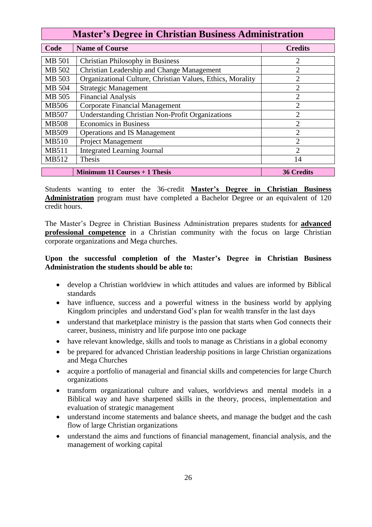| <b>Master's Degree in Christian Business Administration</b> |                                                            |                             |
|-------------------------------------------------------------|------------------------------------------------------------|-----------------------------|
| Code                                                        | <b>Name of Course</b>                                      | <b>Credits</b>              |
| MB 501                                                      | <b>Christian Philosophy in Business</b>                    | 2                           |
| MB 502                                                      | Christian Leadership and Change Management                 | $\overline{c}$              |
| MB 503                                                      | Organizational Culture, Christian Values, Ethics, Morality | 2                           |
| MB 504                                                      | <b>Strategic Management</b>                                | 2                           |
| MB 505                                                      | <b>Financial Analysis</b>                                  | $\overline{2}$              |
| <b>MB506</b>                                                | <b>Corporate Financial Management</b>                      | 2                           |
| <b>MB507</b>                                                | <b>Understanding Christian Non-Profit Organizations</b>    | 2                           |
| <b>MB508</b>                                                | <b>Economics in Business</b>                               | 2                           |
| <b>MB509</b>                                                | <b>Operations and IS Management</b>                        | っ                           |
| <b>MB510</b>                                                | <b>Project Management</b>                                  | 2                           |
| <b>MB511</b>                                                | <b>Integrated Learning Journal</b>                         | $\mathcal{D}_{\mathcal{L}}$ |
| MB512                                                       | <b>Thesis</b>                                              | 14                          |
|                                                             | Minimum 11 Courses + 1 Thesis                              | <b>36 Credits</b>           |

Students wanting to enter the 36-credit **Master's Degree in Christian Business Administration** program must have completed a Bachelor Degree or an equivalent of 120 credit hours.

The Master's Degree in Christian Business Administration prepares students for **advanced professional competence** in a Christian community with the focus on large Christian corporate organizations and Mega churches.

#### **Upon the successful completion of the Master's Degree in Christian Business Administration the students should be able to:**

- develop a Christian worldview in which attitudes and values are informed by Biblical standards
- have influence, success and a powerful witness in the business world by applying Kingdom principles and understand God's plan for wealth transfer in the last days
- understand that marketplace ministry is the passion that starts when God connects their career, business, ministry and life purpose into one package
- have relevant knowledge, skills and tools to manage as Christians in a global economy
- be prepared for advanced Christian leadership positions in large Christian organizations and Mega Churches
- acquire a portfolio of managerial and financial skills and competencies for large Church organizations
- transform organizational culture and values, worldviews and mental models in a Biblical way and have sharpened skills in the theory, process, implementation and evaluation of strategic management
- understand income statements and balance sheets, and manage the budget and the cash flow of large Christian organizations
- understand the aims and functions of financial management, financial analysis, and the management of working capital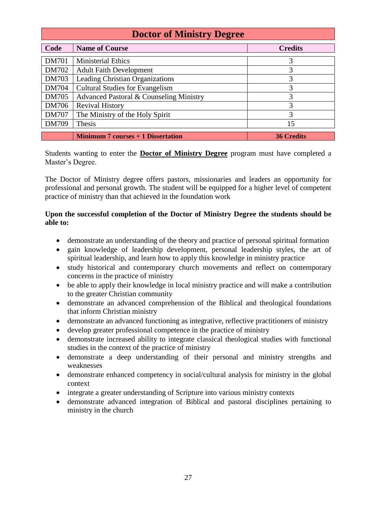| <b>Doctor of Ministry Degree</b> |                                           |                   |
|----------------------------------|-------------------------------------------|-------------------|
| Code                             | <b>Name of Course</b>                     | <b>Credits</b>    |
| <b>DM701</b>                     | <b>Ministerial Ethics</b>                 | 3                 |
| DM702                            | <b>Adult Faith Development</b>            | 3                 |
| <b>DM703</b>                     | Leading Christian Organizations           | 3                 |
| <b>DM704</b>                     | <b>Cultural Studies for Evangelism</b>    | 3                 |
| <b>DM705</b>                     | Advanced Pastoral & Counseling Ministry   | 3                 |
| DM706                            | <b>Revival History</b>                    | 3                 |
| <b>DM707</b>                     | The Ministry of the Holy Spirit           | 3                 |
| <b>DM709</b>                     | Thesis                                    | 15                |
|                                  | <b>Minimum 7 courses + 1 Dissertation</b> | <b>36 Credits</b> |

Students wanting to enter the **Doctor of Ministry Degree** program must have completed a Master's Degree.

The Doctor of Ministry degree offers pastors, missionaries and leaders an opportunity for professional and personal growth. The student will be equipped for a higher level of competent practice of ministry than that achieved in the foundation work

#### **Upon the successful completion of the Doctor of Ministry Degree the students should be able to:**

- demonstrate an understanding of the theory and practice of personal spiritual formation
- gain knowledge of leadership development, personal leadership styles, the art of spiritual leadership, and learn how to apply this knowledge in ministry practice
- study historical and contemporary church movements and reflect on contemporary concerns in the practice of ministry
- be able to apply their knowledge in local ministry practice and will make a contribution to the greater Christian community
- demonstrate an advanced comprehension of the Biblical and theological foundations that inform Christian ministry
- demonstrate an advanced functioning as integrative, reflective practitioners of ministry
- develop greater professional competence in the practice of ministry
- demonstrate increased ability to integrate classical theological studies with functional studies in the context of the practice of ministry
- demonstrate a deep understanding of their personal and ministry strengths and weaknesses
- demonstrate enhanced competency in social/cultural analysis for ministry in the global context
- integrate a greater understanding of Scripture into various ministry contexts
- demonstrate advanced integration of Biblical and pastoral disciplines pertaining to ministry in the church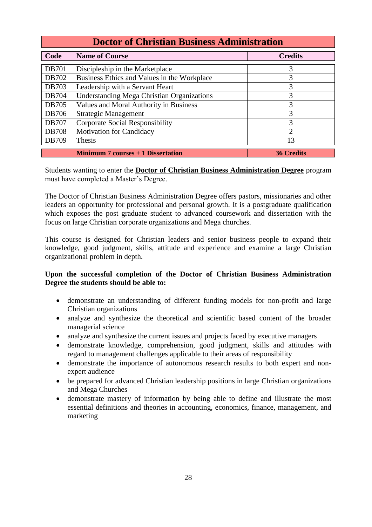| <b>Doctor of Christian Business Administration</b> |                                                   |                   |
|----------------------------------------------------|---------------------------------------------------|-------------------|
| Code                                               | <b>Name of Course</b>                             | <b>Credits</b>    |
| <b>DB701</b>                                       | Discipleship in the Marketplace                   | 3                 |
| DB702                                              | Business Ethics and Values in the Workplace       | 3                 |
| <b>DB703</b>                                       | Leadership with a Servant Heart                   | 3                 |
| <b>DB704</b>                                       | <b>Understanding Mega Christian Organizations</b> | 3                 |
| <b>DB705</b>                                       | Values and Moral Authority in Business            | 3                 |
| DB706                                              | <b>Strategic Management</b>                       | 3                 |
| <b>DB707</b>                                       | <b>Corporate Social Responsibility</b>            | 3                 |
| <b>DB708</b>                                       | <b>Motivation for Candidacy</b>                   | $\overline{2}$    |
| DB709                                              | <b>Thesis</b>                                     | 13                |
|                                                    | Minimum $7$ courses $+1$ Dissertation             | <b>36 Credits</b> |

Students wanting to enter the **Doctor of Christian Business Administration Degree** program must have completed a Master's Degree.

The Doctor of Christian Business Administration Degree offers pastors, missionaries and other leaders an opportunity for professional and personal growth. It is a postgraduate qualification which exposes the post graduate student to advanced coursework and dissertation with the focus on large Christian corporate organizations and Mega churches.

This course is designed for Christian leaders and senior business people to expand their knowledge, good judgment, skills, attitude and experience and examine a large Christian organizational problem in depth.

#### **Upon the successful completion of the Doctor of Christian Business Administration Degree the students should be able to:**

- demonstrate an understanding of different funding models for non-profit and large Christian organizations
- analyze and synthesize the theoretical and scientific based content of the broader managerial science
- analyze and synthesize the current issues and projects faced by executive managers
- demonstrate knowledge, comprehension, good judgment, skills and attitudes with regard to management challenges applicable to their areas of responsibility
- demonstrate the importance of autonomous research results to both expert and nonexpert audience
- be prepared for advanced Christian leadership positions in large Christian organizations and Mega Churches
- demonstrate mastery of information by being able to define and illustrate the most essential definitions and theories in accounting, economics, finance, management, and marketing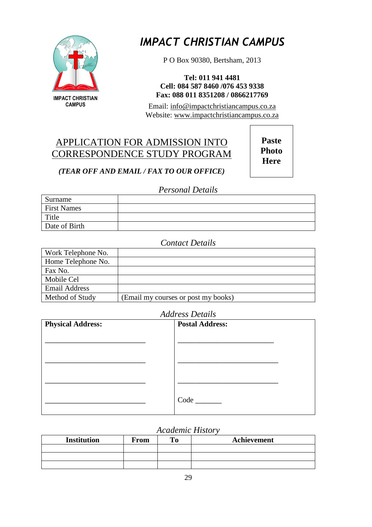

*IMPACT CHRISTIAN CAMPUS*

P O Box 90380, Bertsham, 2013

**Tel: 011 941 4481 Cell: 084 587 8460 /076 453 9338 Fax: 088 011 8351208 / 0866217769**

Email: [info@impactchristiancampus.co.za](mailto:info@impactchristiancampus.co.za) Website: [www.impactchristiancampus.co.za](http://www.impactchristiancampus.co.za/)

## APPLICATION FOR ADMISSION INTO CORRESPONDENCE STUDY PROGRAM

**Paste Photo Here**

#### *(TEAR OFF AND EMAIL / FAX TO OUR OFFICE)*

#### *Personal Details*

| Surname            |  |
|--------------------|--|
| <b>First Names</b> |  |
| Title              |  |
| Date of Birth      |  |

#### *Contact Details*

| Work Telephone No.   |                                     |
|----------------------|-------------------------------------|
| Home Telephone No.   |                                     |
| Fax No.              |                                     |
| Mobile Cel           |                                     |
| <b>Email Address</b> |                                     |
| Method of Study      | (Email my courses or post my books) |

#### *Address Details*

| <b>Physical Address:</b> | <b>Postal Address:</b> |
|--------------------------|------------------------|
|                          |                        |
|                          |                        |
|                          |                        |
|                          | Code                   |

#### *Academic History*

| <b>Institution</b> | From | Achievement |
|--------------------|------|-------------|
|                    |      |             |
|                    |      |             |
|                    |      |             |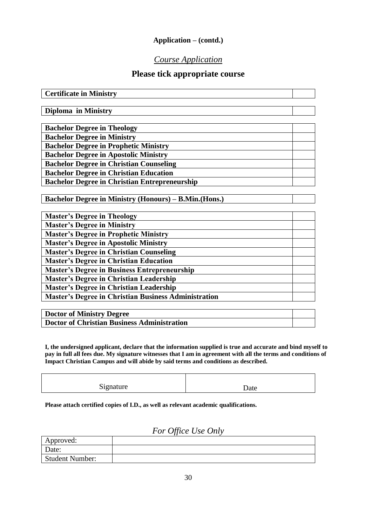#### **Application – (contd.)**

#### *Course Application*

#### **Please tick appropriate course**

| <b>Master's Degree in Theology</b>                          |  |
|-------------------------------------------------------------|--|
| <b>Master's Degree in Ministry</b>                          |  |
| <b>Master's Degree in Prophetic Ministry</b>                |  |
| <b>Master's Degree in Apostolic Ministry</b>                |  |
| <b>Master's Degree in Christian Counseling</b>              |  |
| <b>Master's Degree in Christian Education</b>               |  |
| <b>Master's Degree in Business Entrepreneurship</b>         |  |
| <b>Master's Degree in Christian Leadership</b>              |  |
| <b>Master's Degree in Christian Leadership</b>              |  |
| <b>Master's Degree in Christian Business Administration</b> |  |

| Doctor of Ministry Degree                   |  |
|---------------------------------------------|--|
| Doctor of Christian Business Administration |  |

**I, the undersigned applicant, declare that the information supplied is true and accurate and bind myself to pay in full all fees due. My signature witnesses that I am in agreement with all the terms and conditions of Impact Christian Campus and will abide by said terms and conditions as described.**

Signature Date

**Please attach certified copies of I.D., as well as relevant academic qualifications.**

### *For Office Use Only*

| Approved:              |  |
|------------------------|--|
| Date:                  |  |
| <b>Student Number:</b> |  |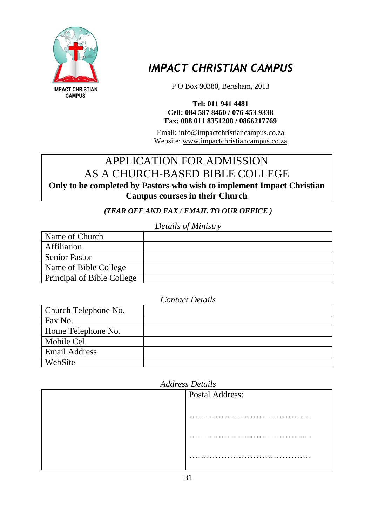

## *IMPACT CHRISTIAN CAMPUS*

P O Box 90380, Bertsham, 2013

#### **Tel: 011 941 4481 Cell: 084 587 8460 / 076 453 9338 Fax: 088 011 8351208 / 0866217769**

Email: [info@impactchristiancampus.co.za](mailto:info@impactchristiancampus.co.za) Website: [www.impactchristiancampus.co.za](http://www.impactchristiancampus.co.za/)

## APPLICATION FOR ADMISSION AS A CHURCH-BASED BIBLE COLLEGE

**Only to be completed by Pastors who wish to implement Impact Christian Campus courses in their Church** 

*(TEAR OFF AND FAX / EMAIL TO OUR OFFICE )*

*Details of Ministry*

| Name of Church             |  |
|----------------------------|--|
| <b>Affiliation</b>         |  |
| <b>Senior Pastor</b>       |  |
| Name of Bible College      |  |
| Principal of Bible College |  |

#### *Contact Details*

| Church Telephone No. |  |
|----------------------|--|
| Fax No.              |  |
| Home Telephone No.   |  |
| Mobile Cel           |  |
| <b>Email Address</b> |  |
| WebSite              |  |

| <b>Address Details</b> |  |  |
|------------------------|--|--|
| <b>Postal Address:</b> |  |  |
|                        |  |  |
|                        |  |  |
|                        |  |  |
|                        |  |  |
|                        |  |  |